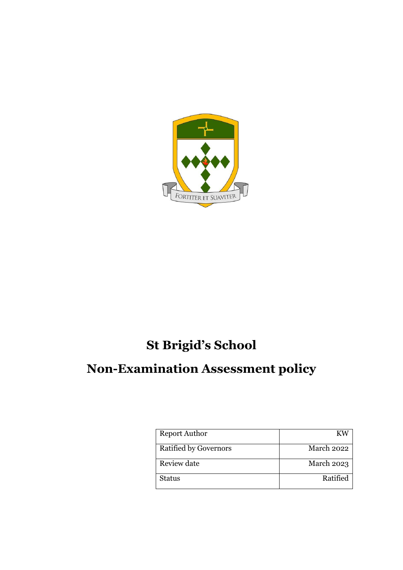

# **St Brigid's School**

# **Non-Examination Assessment policy**

| <b>Report Author</b>         |            |
|------------------------------|------------|
| <b>Ratified by Governors</b> | March 2022 |
| Review date                  | March 2023 |
| Status                       | Ratified   |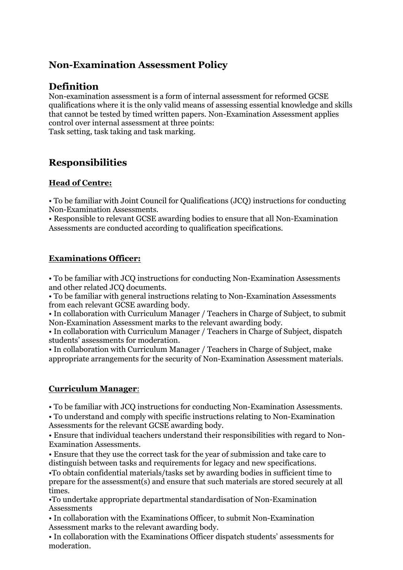## **Non-Examination Assessment Policy**

## **Definition**

Non-examination assessment is a form of internal assessment for reformed GCSE qualifications where it is the only valid means of assessing essential knowledge and skills that cannot be tested by timed written papers. Non-Examination Assessment applies control over internal assessment at three points: Task setting, task taking and task marking.

## **Responsibilities**

#### **Head of Centre:**

• To be familiar with Joint Council for Qualifications (JCQ) instructions for conducting Non-Examination Assessments.

• Responsible to relevant GCSE awarding bodies to ensure that all Non-Examination Assessments are conducted according to qualification specifications.

#### **Examinations Officer:**

• To be familiar with JCQ instructions for conducting Non-Examination Assessments and other related JCQ documents.

• To be familiar with general instructions relating to Non-Examination Assessments from each relevant GCSE awarding body.

• In collaboration with Curriculum Manager / Teachers in Charge of Subject, to submit Non-Examination Assessment marks to the relevant awarding body.

• In collaboration with Curriculum Manager / Teachers in Charge of Subject, dispatch students' assessments for moderation.

• In collaboration with Curriculum Manager / Teachers in Charge of Subject, make appropriate arrangements for the security of Non-Examination Assessment materials.

#### **Curriculum Manager**:

• To be familiar with JCQ instructions for conducting Non-Examination Assessments.

• To understand and comply with specific instructions relating to Non-Examination Assessments for the relevant GCSE awarding body.

• Ensure that individual teachers understand their responsibilities with regard to Non-Examination Assessments.

• Ensure that they use the correct task for the year of submission and take care to distinguish between tasks and requirements for legacy and new specifications.

•To obtain confidential materials/tasks set by awarding bodies in sufficient time to prepare for the assessment(s) and ensure that such materials are stored securely at all times.

•To undertake appropriate departmental standardisation of Non-Examination **Assessments** 

• In collaboration with the Examinations Officer, to submit Non-Examination Assessment marks to the relevant awarding body.

• In collaboration with the Examinations Officer dispatch students' assessments for moderation.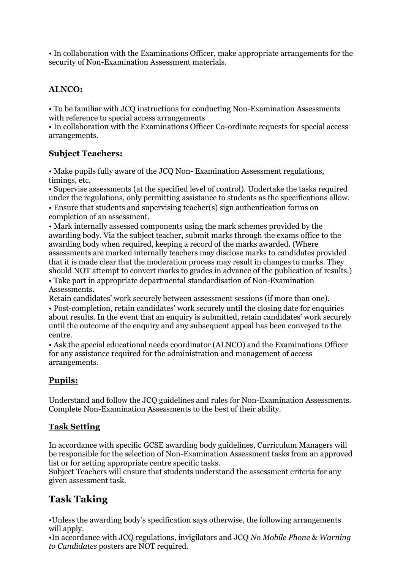• In collaboration with the Examinations Officer, make appropriate arrangements for the security of Non-Examination Assessment materials.

### **ALNCO:**

• To be familiar with JCQ instructions for conducting Non-Examination Assessments with reference to special access arrangements

• In collaboration with the Examinations Officer Co-ordinate requests for special access arrangements.

#### **Subject Teachers:**

• Make pupils fully aware of the JCQ Non- Examination Assessment regulations, timings, etc.

• Supervise assessments (at the specified level of control). Undertake the tasks required under the regulations, only permitting assistance to students as the specifications allow.

• Ensure that students and supervising teacher(s) sign authentication forms on completion of an assessment.

• Mark internally assessed components using the mark schemes provided by the awarding body. Via the subject teacher, submit marks through the exams office to the awarding body when required, keeping a record of the marks awarded. (Where assessments are marked internally teachers may disclose marks to candidates provided that it is made clear that the moderation process may result in changes to marks. They should NOT attempt to convert marks to grades in advance of the publication of results.)

• Take part in appropriate departmental standardisation of Non-Examination Assessments.

Retain candidates' work securely between assessment sessions (if more than one). • Post-completion, retain candidates' work securely until the closing date for enquiries about results. In the event that an enquiry is submitted, retain candidates' work securely until the outcome of the enquiry and any subsequent appeal has been conveyed to the centre.

• Ask the special educational needs coordinator (ALNCO) and the Examinations Officer for any assistance required for the administration and management of access arrangements.

### **Pupils:**

Understand and follow the JCQ guidelines and rules for Non-Examination Assessments. Complete Non-Examination Assessments to the best of their ability.

#### **Task Setting**

In accordance with specific GCSE awarding body guidelines, Curriculum Managers will be responsible for the selection of Non-Examination Assessment tasks from an approved list or for setting appropriate centre specific tasks.

Subject Teachers will ensure that students understand the assessment criteria for any given assessment task.

## **Task Taking**

•Unless the awarding body's specification says otherwise, the following arrangements will apply.

•In accordance with JCQ regulations, invigilators and JCQ *No Mobile Phone* & *Warning to Candidates* posters are NOT required.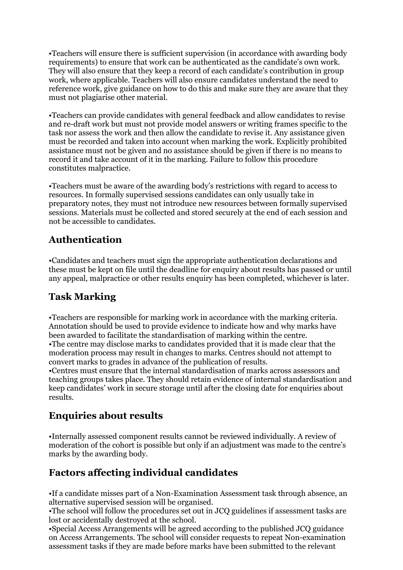•Teachers will ensure there is sufficient supervision (in accordance with awarding body requirements) to ensure that work can be authenticated as the candidate's own work. They will also ensure that they keep a record of each candidate's contribution in group work, where applicable. Teachers will also ensure candidates understand the need to reference work, give guidance on how to do this and make sure they are aware that they must not plagiarise other material.

•Teachers can provide candidates with general feedback and allow candidates to revise and re-draft work but must not provide model answers or writing frames specific to the task nor assess the work and then allow the candidate to revise it. Any assistance given must be recorded and taken into account when marking the work. Explicitly prohibited assistance must not be given and no assistance should be given if there is no means to record it and take account of it in the marking. Failure to follow this procedure constitutes malpractice.

•Teachers must be aware of the awarding body's restrictions with regard to access to resources. In formally supervised sessions candidates can only usually take in preparatory notes, they must not introduce new resources between formally supervised sessions. Materials must be collected and stored securely at the end of each session and not be accessible to candidates.

## **Authentication**

•Candidates and teachers must sign the appropriate authentication declarations and these must be kept on file until the deadline for enquiry about results has passed or until any appeal, malpractice or other results enquiry has been completed, whichever is later.

## **Task Marking**

•Teachers are responsible for marking work in accordance with the marking criteria. Annotation should be used to provide evidence to indicate how and why marks have been awarded to facilitate the standardisation of marking within the centre. •The centre may disclose marks to candidates provided that it is made clear that the moderation process may result in changes to marks. Centres should not attempt to convert marks to grades in advance of the publication of results.

•Centres must ensure that the internal standardisation of marks across assessors and teaching groups takes place. They should retain evidence of internal standardisation and keep candidates' work in secure storage until after the closing date for enquiries about results.

# **Enquiries about results**

•Internally assessed component results cannot be reviewed individually. A review of moderation of the cohort is possible but only if an adjustment was made to the centre's marks by the awarding body.

# **Factors affecting individual candidates**

•If a candidate misses part of a Non-Examination Assessment task through absence, an alternative supervised session will be organised.

•The school will follow the procedures set out in JCQ guidelines if assessment tasks are lost or accidentally destroyed at the school.

•Special Access Arrangements will be agreed according to the published JCQ guidance on Access Arrangements. The school will consider requests to repeat Non-examination assessment tasks if they are made before marks have been submitted to the relevant